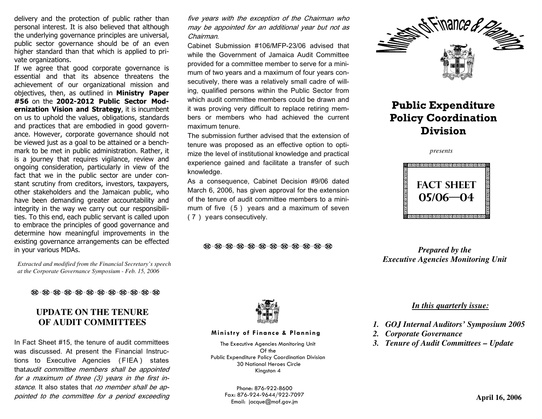delivery and the protection of public rather than personal interest. It is also believed that although the underlying governance principles are universal, public sector governance should be of an even higher standard than that which is applied to private organizations.

 If we agree that good corporate governance is essential and that its absence threatens the achievement of our organizational mission and objectives, then, as outlined in Ministry Paper #56 on the 2002-2012 Public Sector Modernization Vision and Strategy, it is incumbent on us to uphold the values, obligations, standards and practices that are embodied in good governance. However, corporate governance should not be viewed just as a goal to be attained or a benchmark to be met in public administration. Rather, it is a journey that requires vigilance, review and ongoing consideration, particularly in view of the fact that we in the public sector are under constant scrutiny from creditors, investors, taxpayers, other stakeholders and the Jamaican public, who have been demanding greater accountability and integrity in the way we carry out our responsibilities. To this end, each public servant is called upon to embrace the principles of good governance and determine how meaningful improvements in the existing governance arrangements can be effected in your various MDAs.

*Extracted and modified from the Financial Secretary's speech at the Corporate Governance Symposium - Feb. 15, 2006* 

#### 

#### **UPDATE ON THE TENURE OF AUDIT COMMITTEES**

In Fact Sheet #15, the tenure of audit committees was discussed. At present the Financial Instructions to Executive Agencies ( FIEA ) states thataudit committee members shall be appointed for a maximum of three (3) years in the first instance. It also states that no member shall be appointed to the committee for a period exceeding five years with the exception of the Chairman who may be appointed for an additional year but not as Chairman.

Cabinet Submission #106/MFP-23/06 advised that while the Government of Jamaica Audit Committee provided for a committee member to serve for a minimum of two years and a maximum of four years consecutively, there was a relatively small cadre of willing, qualified persons within the Public Sector from which audit committee members could be drawn and it was proving very difficult to replace retiring members or members who had achieved the current maximum tenure.

The submission further advised that the extension of tenure was proposed as an effective option to optimize the level of institutional knowledge and practical experience gained and facilitate a transfer of suchknowledge.

As a consequence, Cabinet Decision #9/06 dated March 6, 2006, has given approval for the extension of the tenure of audit committee members to a minimum of five ( <sup>5</sup> ) years and a maximum of seven ( <sup>7</sup> ) years consecutively.

 $\cdot$  @  $\cdot$  @  $\cdot$  @  $\cdot$  @  $\cdot$  @  $\cdot$  @  $\cdot$  @  $\cdot$  @  $\cdot$  @



### Public Expenditure Policy Coordination Division

*presents*



*Prepared by the Executive Agencies Monitoring Unit* 



#### Ministry of Finance & Planning

The Executive Agencies Monitoring Unit Of the Public Expenditure Policy Coordination Division 30 National Heroes Circle Kingston 4

Phone: 876-922-8600 Fax: 876-924-9644/922-7097 Email: jacque@mof.gov.jm

#### *In this quarterly issue:*

- *1. GOJ Internal Auditors' Symposium 2005*
- *2. Corporate Governance*
- *3. Tenure of Audit Committees Update*